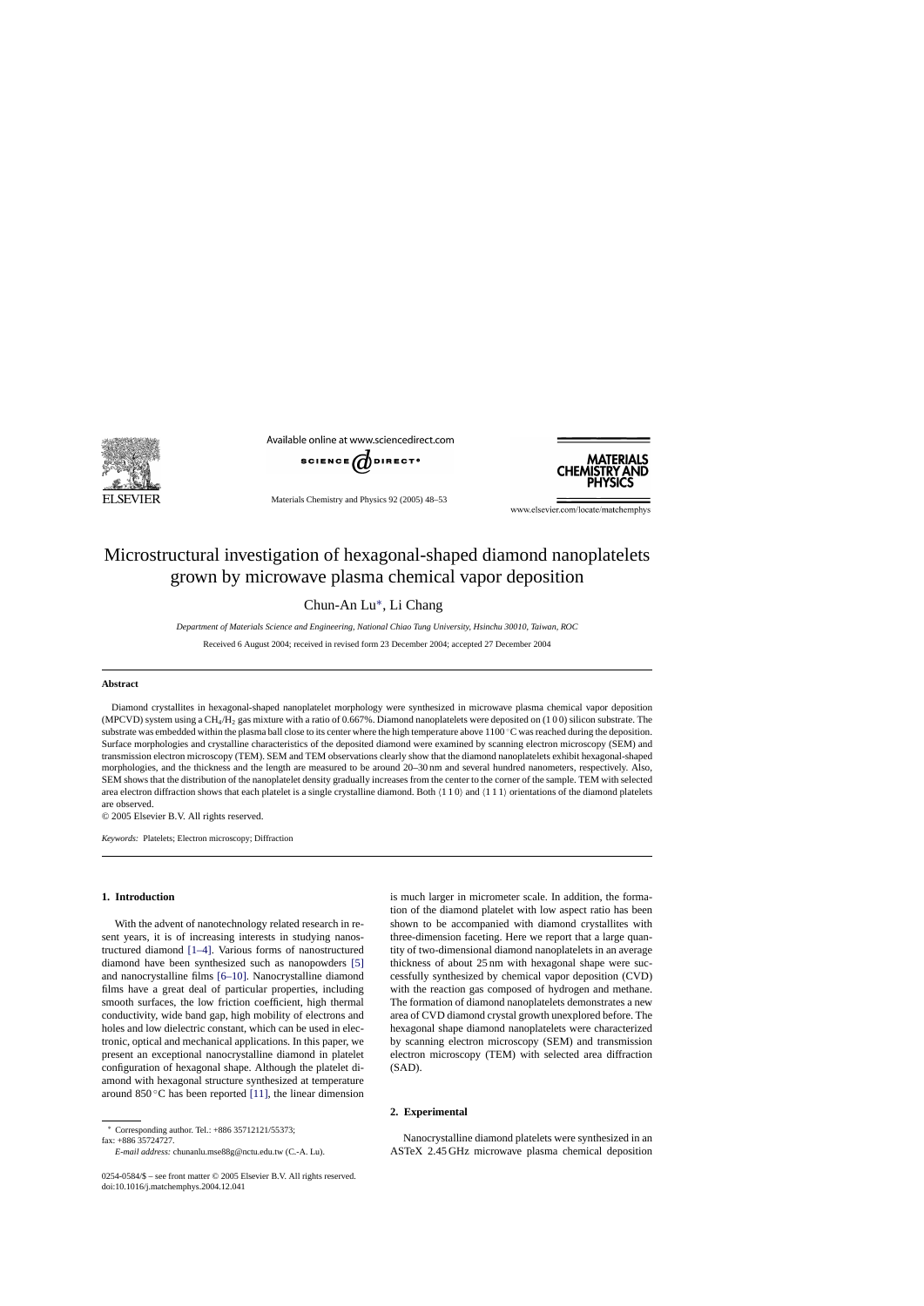

Available online at www.sciencedirect.com



Materials Chemistry and Physics 92 (2005) 48–53



www.elsevier.com/locate/matchemphys

# Microstructural investigation of hexagonal-shaped diamond nanoplatelets grown by microwave plasma chemical vapor deposition

Chun-An Lu∗, Li Chang

*Department of Materials Science and Engineering, National Chiao Tung University, Hsinchu 30010, Taiwan, ROC*

Received 6 August 2004; received in revised form 23 December 2004; accepted 27 December 2004

## **Abstract**

Diamond crystallites in hexagonal-shaped nanoplatelet morphology were synthesized in microwave plasma chemical vapor deposition (MPCVD) system using a CH4/H2 gas mixture with a ratio of 0.667%. Diamond nanoplatelets were deposited on (1 0 0) silicon substrate. The substrate was embedded within the plasma ball close to its center where the high temperature above 1100 ℃ was reached during the deposition. Surface morphologies and crystalline characteristics of the deposited diamond were examined by scanning electron microscopy (SEM) and transmission electron microscopy (TEM). SEM and TEM observations clearly show that the diamond nanoplatelets exhibit hexagonal-shaped morphologies, and the thickness and the length are measured to be around 20–30 nm and several hundred nanometers, respectively. Also, SEM shows that the distribution of the nanoplatelet density gradually increases from the center to the corner of the sample. TEM with selected area electron diffraction shows that each platelet is a single crystalline diamond. Both  $(1\ 1\ 0)$  and  $(1\ 1\ 1)$  orientations of the diamond platelets are observed.

© 2005 Elsevier B.V. All rights reserved.

*Keywords:* Platelets; Electron microscopy; Diffraction

# **1. Introduction**

With the advent of nanotechnology related research in resent years, it is of increasing interests in studying nanostructured diamond [\[1–4\].](#page-5-0) Various forms of nanostructured diamond have been synthesized such as nanopowders [\[5\]](#page-5-0) and nanocrystalline films [\[6–10\].](#page-5-0) Nanocrystalline diamond films have a great deal of particular properties, including smooth surfaces, the low friction coefficient, high thermal conductivity, wide band gap, high mobility of electrons and holes and low dielectric constant, which can be used in electronic, optical and mechanical applications. In this paper, we present an exceptional nanocrystalline diamond in platelet configuration of hexagonal shape. Although the platelet diamond with hexagonal structure synthesized at temperature around 850 $\degree$ C has been reported [\[11\],](#page-5-0) the linear dimension

fax: +886 35724727.

*E-mail address:* chunanlu.mse88g@nctu.edu.tw (C.-A. Lu).

is much larger in micrometer scale. In addition, the formation of the diamond platelet with low aspect ratio has been shown to be accompanied with diamond crystallites with three-dimension faceting. Here we report that a large quantity of two-dimensional diamond nanoplatelets in an average thickness of about 25 nm with hexagonal shape were successfully synthesized by chemical vapor deposition (CVD) with the reaction gas composed of hydrogen and methane. The formation of diamond nanoplatelets demonstrates a new area of CVD diamond crystal growth unexplored before. The hexagonal shape diamond nanoplatelets were characterized by scanning electron microscopy (SEM) and transmission electron microscopy (TEM) with selected area diffraction (SAD).

# **2. Experimental**

Nanocrystalline diamond platelets were synthesized in an ASTeX 2.45 GHz microwave plasma chemical deposition

<sup>∗</sup> Corresponding author. Tel.: +886 35712121/55373;

<sup>0254-0584/\$ –</sup> see front matter © 2005 Elsevier B.V. All rights reserved. doi:10.1016/j.matchemphys.2004.12.041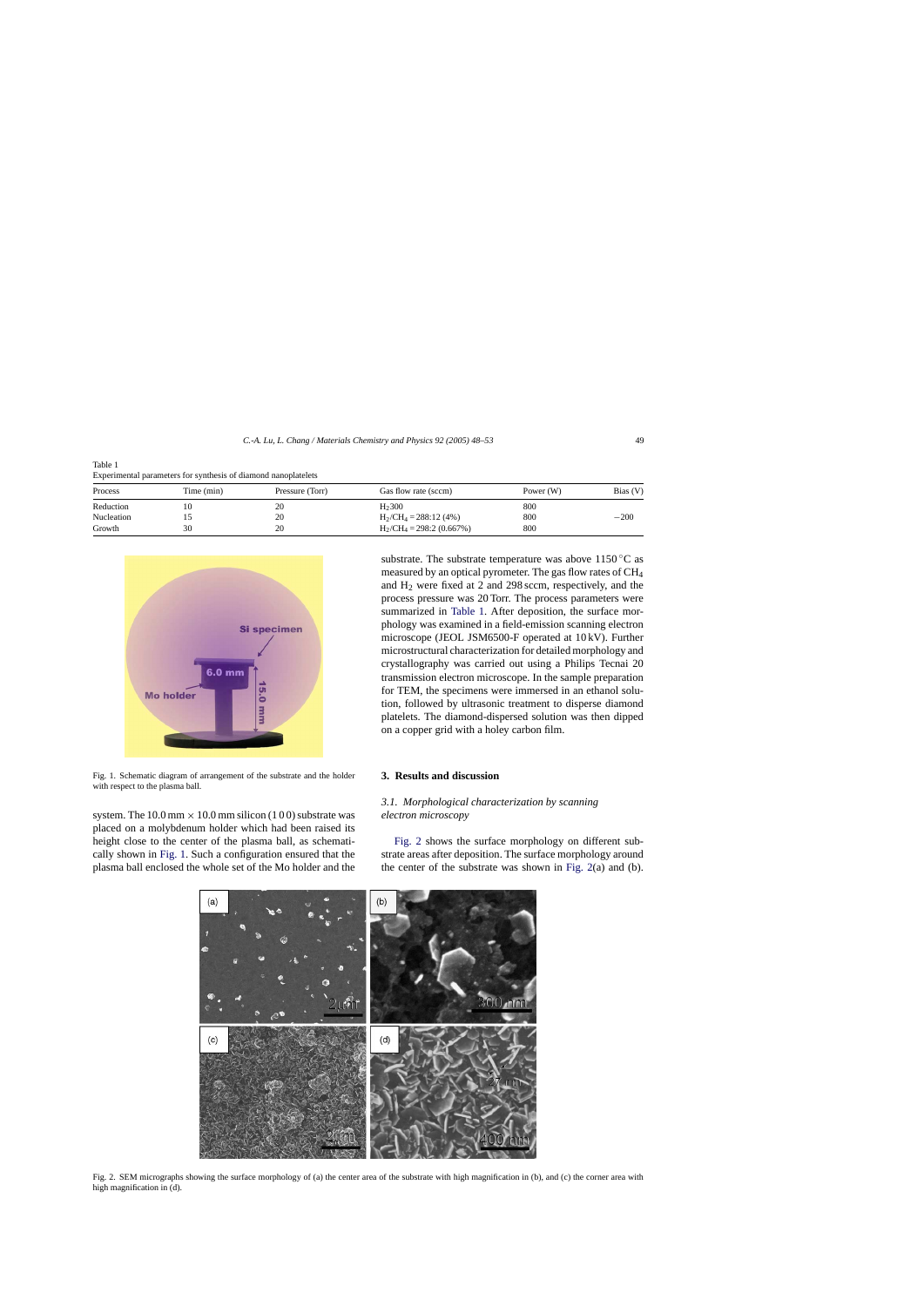<span id="page-1-0"></span>Table 1 Experimental parameters for synthesis of diamond nanoplatelets

| Process    | Time (min) | Pressure (Torr) | Gas flow rate (sccm)       | Power $(W)$ | Bias (V) |
|------------|------------|-----------------|----------------------------|-------------|----------|
| Reduction  |            |                 | H <sub>2</sub> 300         | 800         |          |
| Nucleation |            | 20              | $H_2/CH_4 = 288:12(4%)$    | 800         | $-200$   |
| Growth     | 30         |                 | $H_2/CH_4 = 298:2(0.667%)$ | 800         |          |



Fig. 1. Schematic diagram of arrangement of the substrate and the holder with respect to the plasma ball.

system. The  $10.0 \text{ mm} \times 10.0 \text{ mm}$  silicon (1 0 0) substrate was placed on a molybdenum holder which had been raised its height close to the center of the plasma ball, as schematically shown in Fig. 1. Such a configuration ensured that the plasma ball enclosed the whole set of the Mo holder and the

substrate. The substrate temperature was above  $1150\,^{\circ}\text{C}$  as measured by an optical pyrometer. The gas flow rates of CH4 and H2 were fixed at 2 and 298 sccm, respectively, and the process pressure was 20 Torr. The process parameters were summarized in Table 1. After deposition, the surface morphology was examined in a field-emission scanning electron microscope (JEOL JSM6500-F operated at 10 kV). Further microstructural characterization for detailed morphology and crystallography was carried out using a Philips Tecnai 20 transmission electron microscope. In the sample preparation for TEM, the specimens were immersed in an ethanol solution, followed by ultrasonic treatment to disperse diamond platelets. The diamond-dispersed solution was then dipped on a copper grid with a holey carbon film.

#### **3. Results and discussion**

# *3.1. Morphological characterization by scanning electron microscopy*

Fig. 2 shows the surface morphology on different substrate areas after deposition. The surface morphology around the center of the substrate was shown in Fig. 2(a) and (b).



Fig. 2. SEM micrographs showing the surface morphology of (a) the center area of the substrate with high magnification in (b), and (c) the corner area with high magnification in (d).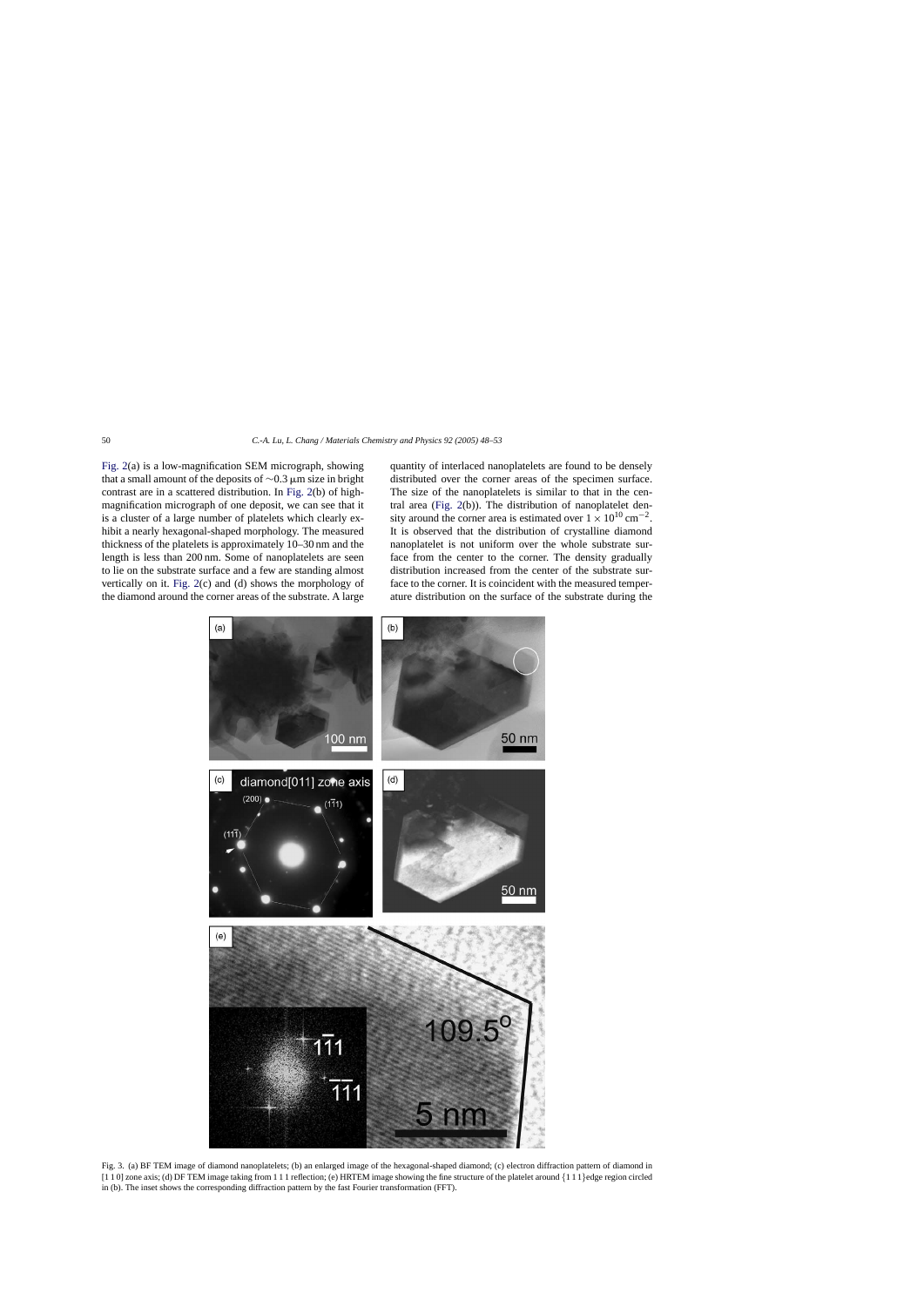<span id="page-2-0"></span>[Fig. 2\(a](#page-1-0)) is a low-magnification SEM micrograph, showing that a small amount of the deposits of  $\sim$ 0.3 µm size in bright contrast are in a scattered distribution. In [Fig. 2\(b](#page-1-0)) of highmagnification micrograph of one deposit, we can see that it is a cluster of a large number of platelets which clearly exhibit a nearly hexagonal-shaped morphology. The measured thickness of the platelets is approximately 10–30 nm and the length is less than 200 nm. Some of nanoplatelets are seen to lie on the substrate surface and a few are standing almost vertically on it. [Fig. 2\(c](#page-1-0)) and (d) shows the morphology of the diamond around the corner areas of the substrate. A large quantity of interlaced nanoplatelets are found to be densely distributed over the corner areas of the specimen surface. The size of the nanoplatelets is similar to that in the central area ([Fig. 2\(b](#page-1-0))). The distribution of nanoplatelet density around the corner area is estimated over  $1 \times 10^{10}$  cm<sup>-2</sup>. It is observed that the distribution of crystalline diamond nanoplatelet is not uniform over the whole substrate surface from the center to the corner. The density gradually distribution increased from the center of the substrate surface to the corner. It is coincident with the measured temperature distribution on the surface of the substrate during the



Fig. 3. (a) BF TEM image of diamond nanoplatelets; (b) an enlarged image of the hexagonal-shaped diamond; (c) electron diffraction pattern of diamond in [1 1 0] zone axis; (d) DF TEM image taking from 1 1 1 reflection; (e) HRTEM image showing the fine structure of the platelet around {1 1 1}edge region circled in (b). The inset shows the corresponding diffraction pattern by the fast Fourier transformation (FFT).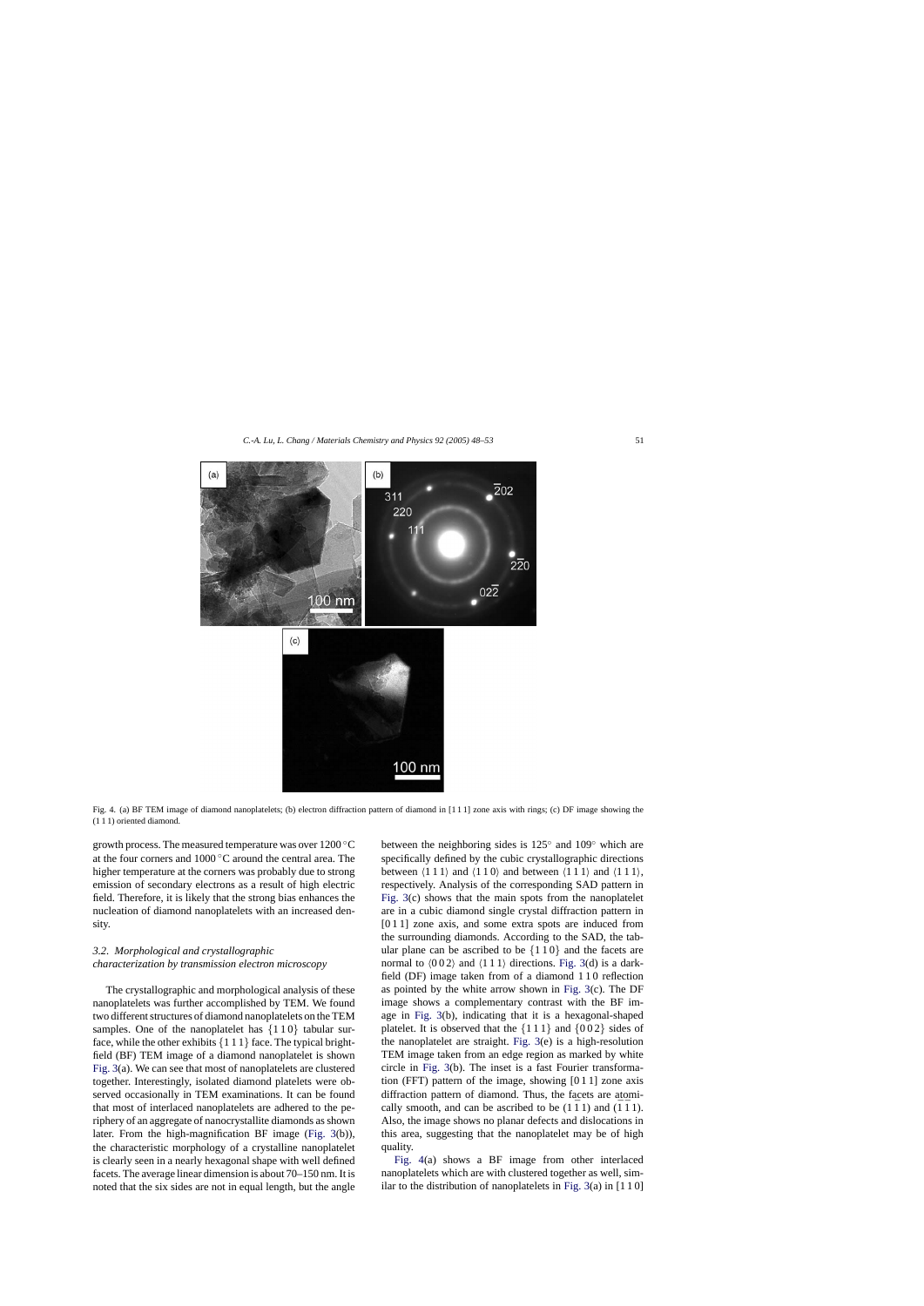

<span id="page-3-0"></span>

Fig. 4. (a) BF TEM image of diamond nanoplatelets; (b) electron diffraction pattern of diamond in [1 1 1] zone axis with rings; (c) DF image showing the (1 1 1) oriented diamond.

growth process. The measured temperature was over 1200 ◦C at the four corners and 1000 ◦C around the central area. The higher temperature at the corners was probably due to strong emission of secondary electrons as a result of high electric field. Therefore, it is likely that the strong bias enhances the nucleation of diamond nanoplatelets with an increased density.

# *3.2. Morphological and crystallographic characterization by transmission electron microscopy*

The crystallographic and morphological analysis of these nanoplatelets was further accomplished by TEM. We found two different structures of diamond nanoplatelets on the TEM samples. One of the nanoplatelet has  $\{110\}$  tabular surface, while the other exhibits  $\{111\}$  face. The typical brightfield (BF) TEM image of a diamond nanoplatelet is shown [Fig. 3\(a](#page-2-0)). We can see that most of nanoplatelets are clustered together. Interestingly, isolated diamond platelets were observed occasionally in TEM examinations. It can be found that most of interlaced nanoplatelets are adhered to the periphery of an aggregate of nanocrystallite diamonds as shown later. From the high-magnification BF image [\(Fig. 3\(](#page-2-0)b)), the characteristic morphology of a crystalline nanoplatelet is clearly seen in a nearly hexagonal shape with well defined facets. The average linear dimension is about 70–150 nm. It is noted that the six sides are not in equal length, but the angle between the neighboring sides is 125◦ and 109◦ which are specifically defined by the cubic crystallographic directions between  $(111)$  and  $(110)$  and between  $(111)$  and  $(111)$ , respectively. Analysis of the corresponding SAD pattern in [Fig. 3\(c](#page-2-0)) shows that the main spots from the nanoplatelet are in a cubic diamond single crystal diffraction pattern in [0 1 1] zone axis, and some extra spots are induced from the surrounding diamonds. According to the SAD, the tabular plane can be ascribed to be  $\{110\}$  and the facets are normal to  $(002)$  and  $(111)$  directions. [Fig. 3\(d](#page-2-0)) is a darkfield (DF) image taken from of a diamond 1 1 0 reflection as pointed by the white arrow shown in [Fig. 3\(c](#page-2-0)). The DF image shows a complementary contrast with the BF image in [Fig. 3\(](#page-2-0)b), indicating that it is a hexagonal-shaped platelet. It is observed that the  $\{111\}$  and  $\{002\}$  sides of the nanoplatelet are straight. [Fig. 3\(e](#page-2-0)) is a high-resolution TEM image taken from an edge region as marked by white circle in [Fig. 3\(b](#page-2-0)). The inset is a fast Fourier transformation (FFT) pattern of the image, showing [0 1 1] zone axis diffraction pattern of diamond. Thus, the facets are atomically smooth, and can be ascribed to be  $(1 \bar{1} 1)$  and  $(\bar{1} \bar{1} 1)$ . Also, the image shows no planar defects and dislocations in this area, suggesting that the nanoplatelet may be of high quality.

Fig. 4(a) shows a BF image from other interlaced nanoplatelets which are with clustered together as well, similar to the distribution of nanoplatelets in Fig.  $3(a)$  in [1 10]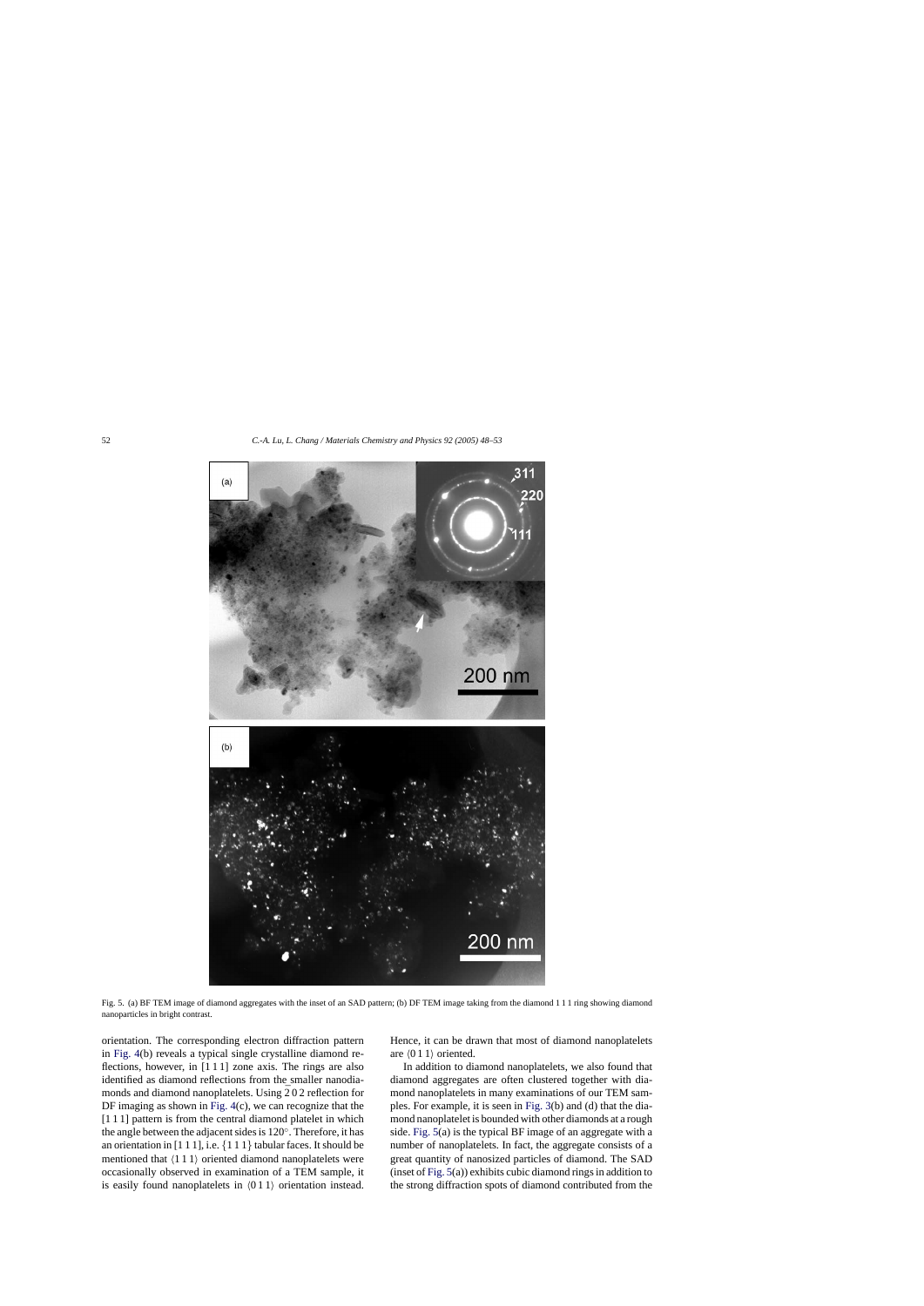<span id="page-4-0"></span>

Fig. 5. (a) BF TEM image of diamond aggregates with the inset of an SAD pattern; (b) DF TEM image taking from the diamond 111 ring showing diamond nanoparticles in bright contrast.

orientation. The corresponding electron diffraction pattern in [Fig. 4\(b](#page-3-0)) reveals a typical single crystalline diamond reflections, however, in [1 1 1] zone axis. The rings are also identified as diamond reflections from the smaller nanodiamonds and diamond nanoplatelets. Using  $\bar{2}02$  reflection for DF imaging as shown in [Fig. 4\(c](#page-3-0)), we can recognize that the [1 1 1] pattern is from the central diamond platelet in which the angle between the adjacent sides is 120◦. Therefore, it has an orientation in  $[1 1 1]$ , i.e.  $\{1 1 1\}$  tabular faces. It should be mentioned that  $(111)$  oriented diamond nanoplatelets were occasionally observed in examination of a TEM sample, it is easily found nanoplatelets in  $(011)$  orientation instead. Hence, it can be drawn that most of diamond nanoplatelets are  $(011)$  oriented.

In addition to diamond nanoplatelets, we also found that diamond aggregates are often clustered together with diamond nanoplatelets in many examinations of our TEM samples. For example, it is seen in [Fig. 3\(b](#page-2-0)) and (d) that the diamond nanoplatelet is bounded with other diamonds at a rough side. Fig. 5(a) is the typical BF image of an aggregate with a number of nanoplatelets. In fact, the aggregate consists of a great quantity of nanosized particles of diamond. The SAD (inset of Fig. 5(a)) exhibits cubic diamond rings in addition to the strong diffraction spots of diamond contributed from the